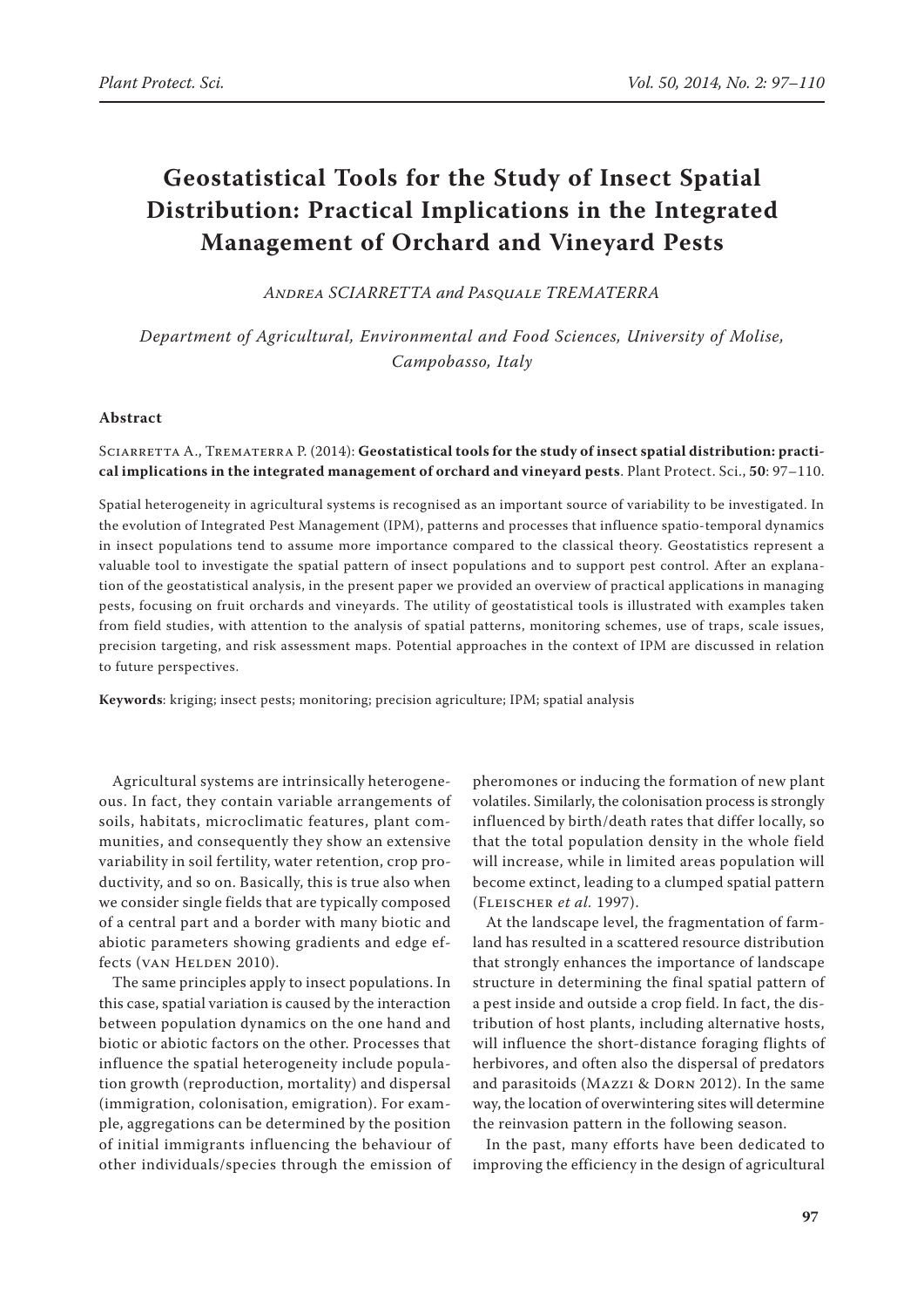# **Geostatistical Tools for the Study of Insect Spatial Distribution: Practical Implications in the Integrated Management of Orchard and Vineyard Pests**

*Andrea Sciarretta and Pasquale Trematerra*

*Department of Agricultural, Environmental and Food Sciences, University of Molise, Campobasso, Italy*

#### **Abstract**

## SCIARRETTA A., TREMATERRA P. (2014): Geostatistical tools for the study of insect spatial distribution: practi**cal implications in the integrated management of orchard and vineyard pests**. Plant Protect. Sci., **50**: 97–110.

Spatial heterogeneity in agricultural systems is recognised as an important source of variability to be investigated. In the evolution of Integrated Pest Management (IPM), patterns and processes that influence spatio-temporal dynamics in insect populations tend to assume more importance compared to the classical theory. Geostatistics represent a valuable tool to investigate the spatial pattern of insect populations and to support pest control. After an explanation of the geostatistical analysis, in the present paper we provided an overview of practical applications in managing pests, focusing on fruit orchards and vineyards. The utility of geostatistical tools is illustrated with examples taken from field studies, with attention to the analysis of spatial patterns, monitoring schemes, use of traps, scale issues, precision targeting, and risk assessment maps. Potential approaches in the context of IPM are discussed in relation to future perspectives.

**Keywords**: kriging; insect pests; monitoring; precision agriculture; IPM; spatial analysis

Agricultural systems are intrinsically heterogeneous. In fact, they contain variable arrangements of soils, habitats, microclimatic features, plant communities, and consequently they show an extensive variability in soil fertility, water retention, crop productivity, and so on. Basically, this is true also when we consider single fields that are typically composed of a central part and a border with many biotic and abiotic parameters showing gradients and edge effects (van Helden 2010).

The same principles apply to insect populations. In this case, spatial variation is caused by the interaction between population dynamics on the one hand and biotic or abiotic factors on the other. Processes that influence the spatial heterogeneity include population growth (reproduction, mortality) and dispersal (immigration, colonisation, emigration). For example, aggregations can be determined by the position of initial immigrants influencing the behaviour of other individuals/species through the emission of

pheromones or inducing the formation of new plant volatiles. Similarly, the colonisation process is strongly influenced by birth/death rates that differ locally, so that the total population density in the whole field will increase, while in limited areas population will become extinct, leading to a clumped spatial pattern (Fleischer *et al.* 1997).

At the landscape level, the fragmentation of farmland has resulted in a scattered resource distribution that strongly enhances the importance of landscape structure in determining the final spatial pattern of a pest inside and outside a crop field. In fact, the distribution of host plants, including alternative hosts, will influence the short-distance foraging flights of herbivores, and often also the dispersal of predators and parasitoids (Mazzi & Dorn 2012). In the same way, the location of overwintering sites will determine the reinvasion pattern in the following season.

In the past, many efforts have been dedicated to improving the efficiency in the design of agricultural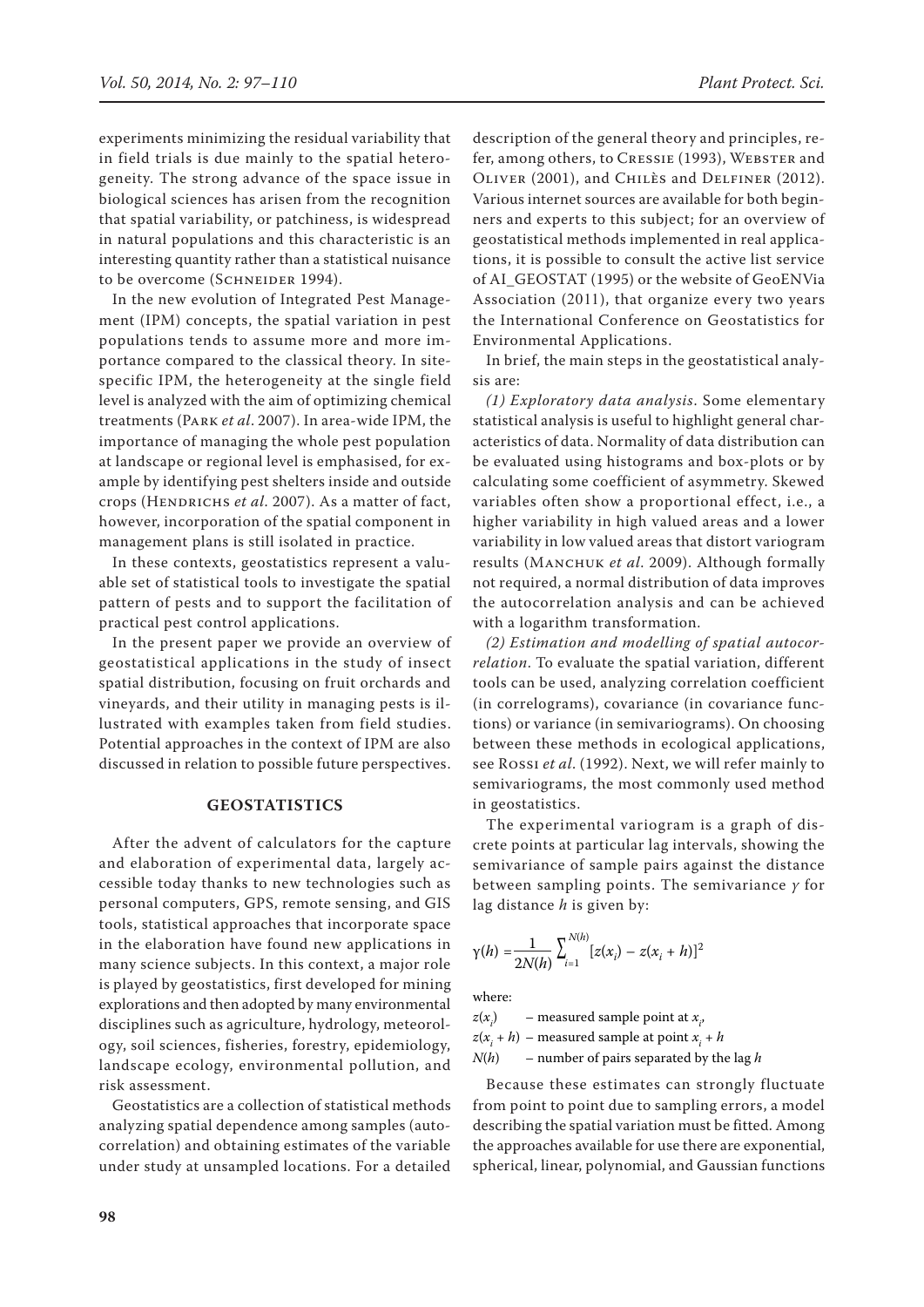experiments minimizing the residual variability that in field trials is due mainly to the spatial heterogeneity. The strong advance of the space issue in biological sciences has arisen from the recognition that spatial variability, or patchiness, is widespread in natural populations and this characteristic is an interesting quantity rather than a statistical nuisance to be overcome (SCHNEIDER 1994).

In the new evolution of Integrated Pest Management (IPM) concepts, the spatial variation in pest populations tends to assume more and more importance compared to the classical theory. In sitespecific IPM, the heterogeneity at the single field level is analyzed with the aim of optimizing chemical treatments (Park *et al*. 2007). In area-wide IPM, the importance of managing the whole pest population at landscape or regional level is emphasised, for example by identifying pest shelters inside and outside crops (HENDRICHS *et al.* 2007). As a matter of fact, however, incorporation of the spatial component in management plans is still isolated in practice.

In these contexts, geostatistics represent a valuable set of statistical tools to investigate the spatial pattern of pests and to support the facilitation of practical pest control applications.

In the present paper we provide an overview of geostatistical applications in the study of insect spatial distribution, focusing on fruit orchards and vineyards, and their utility in managing pests is illustrated with examples taken from field studies. Potential approaches in the context of IPM are also discussed in relation to possible future perspectives.

#### **Geostatistics**

After the advent of calculators for the capture and elaboration of experimental data, largely accessible today thanks to new technologies such as personal computers, GPS, remote sensing, and GIS tools, statistical approaches that incorporate space in the elaboration have found new applications in many science subjects. In this context, a major role is played by geostatistics, first developed for mining explorations and then adopted by many environmental disciplines such as agriculture, hydrology, meteorology, soil sciences, fisheries, forestry, epidemiology, landscape ecology, environmental pollution, and risk assessment.

Geostatistics are a collection of statistical methods analyzing spatial dependence among samples (autocorrelation) and obtaining estimates of the variable under study at unsampled locations. For a detailed description of the general theory and principles, refer, among others, to CRESSIE (1993), WEBSTER and Oliver (2001), and Chilès and Delfiner (2012). Various internet sources are available for both beginners and experts to this subject; for an overview of geostatistical methods implemented in real applications, it is possible to consult the active list service of AI\_GEOSTAT (1995) or the website of GeoENVia Association (2011), that organize every two years the International Conference on Geostatistics for Environmental Applications.

In brief, the main steps in the geostatistical analysis are:

*(1) Exploratory data analysis*. Some elementary statistical analysis is useful to highlight general characteristics of data. Normality of data distribution can be evaluated using histograms and box-plots or by calculating some coefficient of asymmetry. Skewed variables often show a proportional effect, i.e., a higher variability in high valued areas and a lower variability in low valued areas that distort variogram results (MANCHUK *et al.* 2009). Although formally not required, a normal distribution of data improves the autocorrelation analysis and can be achieved with a logarithm transformation.

*(2) Estimation and modelling of spatial autocorrelation*. To evaluate the spatial variation, different tools can be used, analyzing correlation coefficient (in correlograms), covariance (in covariance functions) or variance (in semivariograms). On choosing between these methods in ecological applications, see Rossi *et al*. (1992). Next, we will refer mainly to semivariograms, the most commonly used method in geostatistics.

The experimental variogram is a graph of discrete points at particular lag intervals, showing the semivariance of sample pairs against the distance between sampling points. The semivariance *γ* for lag distance *h* is given by:

$$
\gamma(h) = \frac{1}{2N(h)} \sum_{i=1}^{N(h)} [z(x_i) - z(x_i + h)]^2
$$

where:

 $z(x_i)$  $\phi$  – measured sample point at  $x_i$ ,  $z(x_i + h)$  – measured sample at point  $x_i + h$ *N*(*h*) – number of pairs separated by the lag *h*

Because these estimates can strongly fluctuate from point to point due to sampling errors, a model describing the spatial variation must be fitted. Among the approaches available for use there are exponential, spherical, linear, polynomial, and Gaussian functions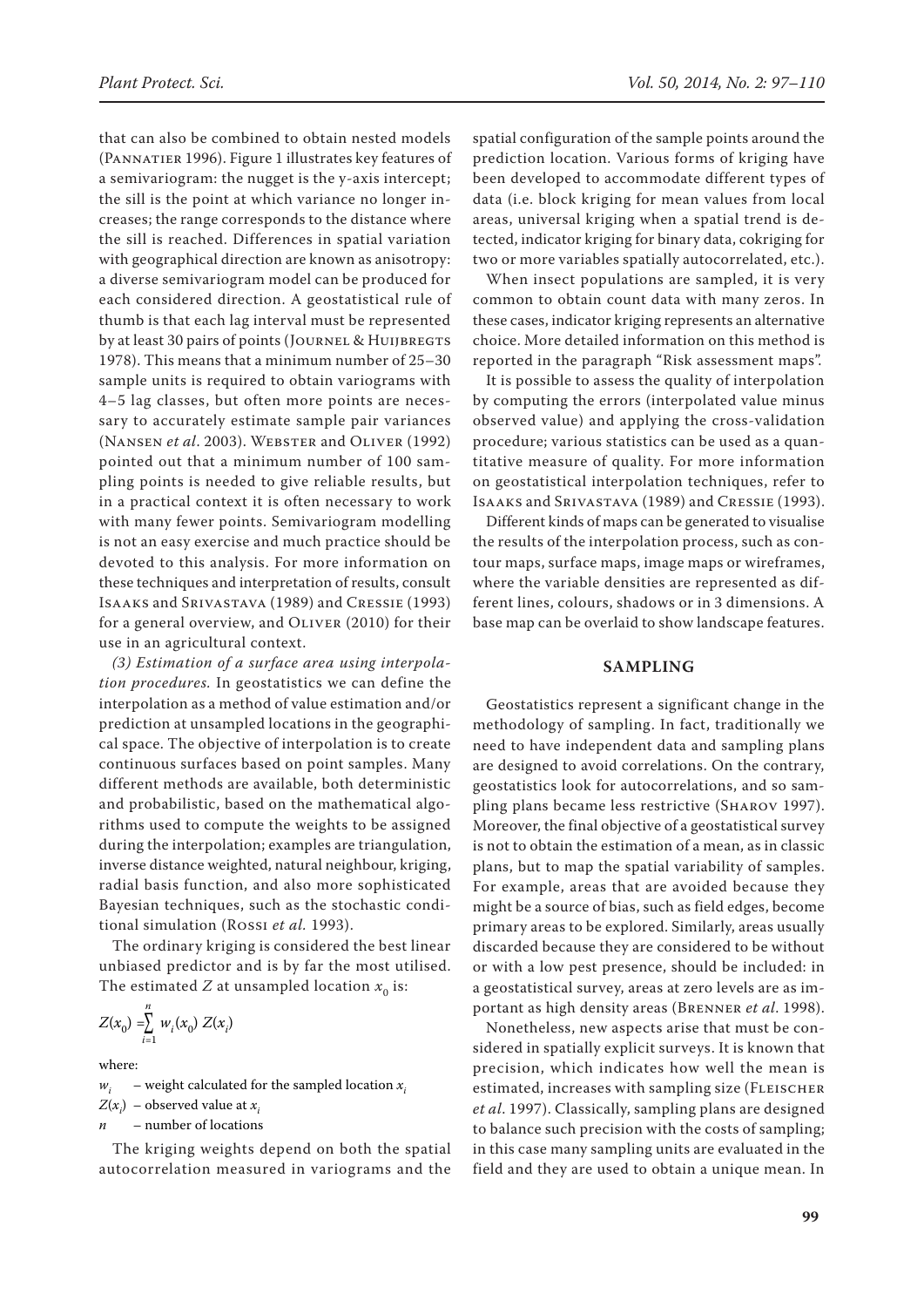that can also be combined to obtain nested models (Pannatier 1996). Figure 1 illustrates key features of a semivariogram: the nugget is the y-axis intercept; the sill is the point at which variance no longer increases; the range corresponds to the distance where the sill is reached. Differences in spatial variation with geographical direction are known as anisotropy: a diverse semivariogram model can be produced for each considered direction. A geostatistical rule of thumb is that each lag interval must be represented by at least 30 pairs of points (JOURNEL & HUIJBREGTS 1978). This means that a minimum number of 25–30 sample units is required to obtain variograms with 4–5 lag classes, but often more points are necessary to accurately estimate sample pair variances (Nansen *et al*. 2003). Webster and Oliver (1992) pointed out that a minimum number of 100 sampling points is needed to give reliable results, but in a practical context it is often necessary to work with many fewer points. Semivariogram modelling is not an easy exercise and much practice should be devoted to this analysis. For more information on these techniques and interpretation of results, consult Isaaks and Srivastava (1989) and Cressie (1993) for a general overview, and OLIVER (2010) for their use in an agricultural context.

*(3) Estimation of a surface area using interpolation procedures.* In geostatistics we can define the interpolation as a method of value estimation and/or prediction at unsampled locations in the geographical space. The objective of interpolation is to create continuous surfaces based on point samples. Many different methods are available, both deterministic and probabilistic, based on the mathematical algorithms used to compute the weights to be assigned during the interpolation; examples are triangulation, inverse distance weighted, natural neighbour, kriging, radial basis function, and also more sophisticated Bayesian techniques, such as the stochastic conditional simulation (Rossi *et al.* 1993).

The ordinary kriging is considered the best linear unbiased predictor and is by far the most utilised. The estimated *Z* at unsampled location  $x_0$  is:

$$
Z(x_0) = \sum_{i=1}^{n} w_i(x_0) Z(x_i)
$$

where:

*wi* – weight calculated for the sampled location  $x_i$  $Z(x_i)$  – observed value at  $x_i$ *n* – number of locations

The kriging weights depend on both the spatial autocorrelation measured in variograms and the

spatial configuration of the sample points around the prediction location. Various forms of kriging have been developed to accommodate different types of data (i.e. block kriging for mean values from local areas, universal kriging when a spatial trend is detected, indicator kriging for binary data, cokriging for two or more variables spatially autocorrelated, etc.).

When insect populations are sampled, it is very common to obtain count data with many zeros. In these cases, indicator kriging represents an alternative choice. More detailed information on this method is reported in the paragraph "Risk assessment maps".

It is possible to assess the quality of interpolation by computing the errors (interpolated value minus observed value) and applying the cross-validation procedure; various statistics can be used as a quantitative measure of quality. For more information on geostatistical interpolation techniques, refer to Isaaks and Srivastava (1989) and Cressie (1993).

Different kinds of maps can be generated to visualise the results of the interpolation process, such as contour maps, surface maps, image maps or wireframes, where the variable densities are represented as different lines, colours, shadows or in 3 dimensions. A base map can be overlaid to show landscape features.

### **Sampling**

Geostatistics represent a significant change in the methodology of sampling. In fact, traditionally we need to have independent data and sampling plans are designed to avoid correlations. On the contrary, geostatistics look for autocorrelations, and so sampling plans became less restrictive (SHAROV 1997). Moreover, the final objective of a geostatistical survey is not to obtain the estimation of a mean, as in classic plans, but to map the spatial variability of samples. For example, areas that are avoided because they might be a source of bias, such as field edges, become primary areas to be explored. Similarly, areas usually discarded because they are considered to be without or with a low pest presence, should be included: in a geostatistical survey, areas at zero levels are as important as high density areas (Brenner *et al*. 1998).

Nonetheless, new aspects arise that must be considered in spatially explicit surveys. It is known that precision, which indicates how well the mean is estimated, increases with sampling size (FLEISCHER *et al*. 1997). Classically, sampling plans are designed to balance such precision with the costs of sampling; in this case many sampling units are evaluated in the field and they are used to obtain a unique mean. In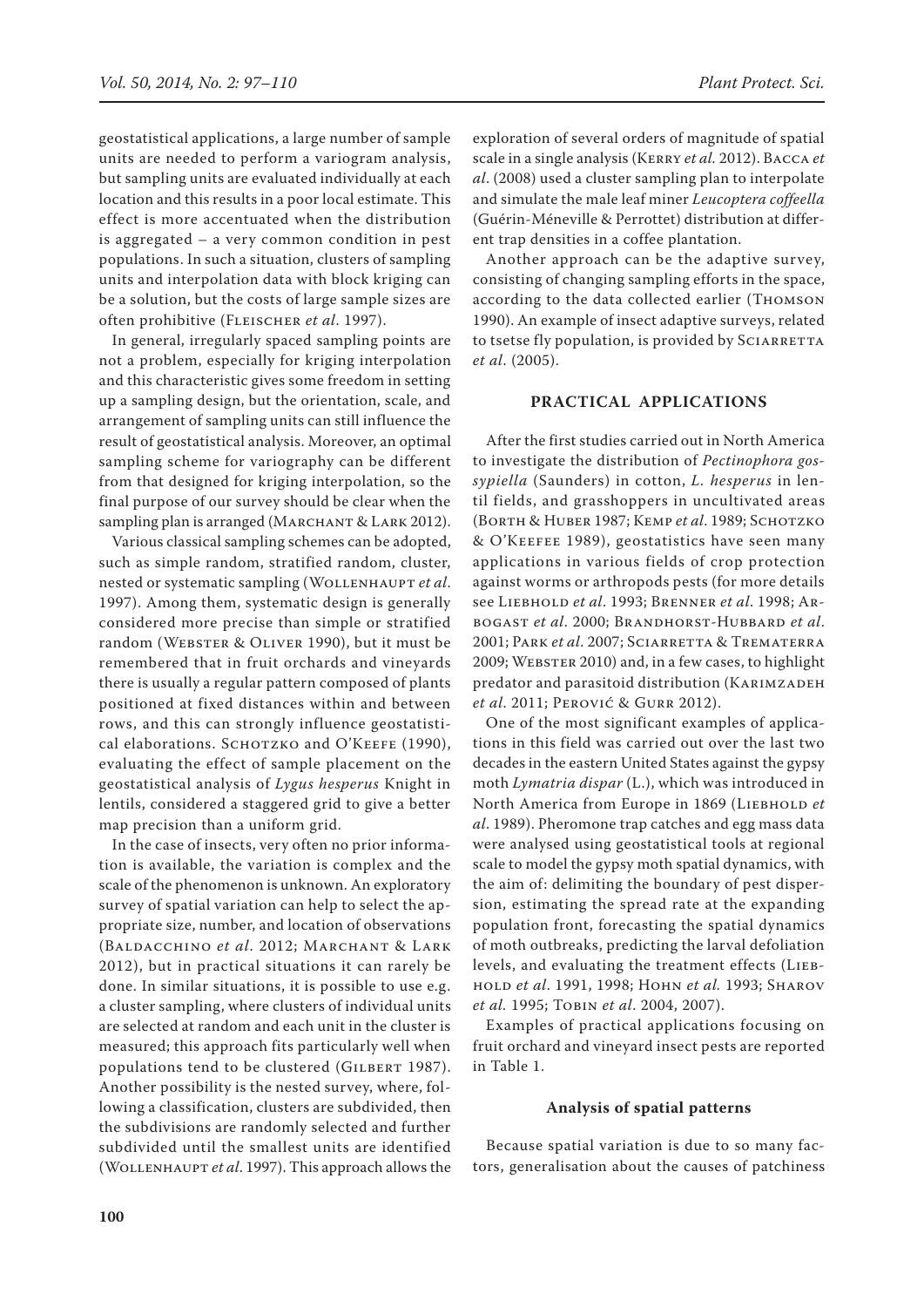geostatistical applications, a large number of sample units are needed to perform a variogram analysis, but sampling units are evaluated individually at each location and this results in a poor local estimate. This effect is more accentuated when the distribution is aggregated – a very common condition in pest populations. In such a situation, clusters of sampling units and interpolation data with block kriging can be a solution, but the costs of large sample sizes are often prohibitive (Fleischer *et al*. 1997).

In general, irregularly spaced sampling points are not a problem, especially for kriging interpolation and this characteristic gives some freedom in setting up a sampling design, but the orientation, scale, and arrangement of sampling units can still influence the result of geostatistical analysis. Moreover, an optimal sampling scheme for variography can be different from that designed for kriging interpolation, so the final purpose of our survey should be clear when the sampling plan is arranged (MARCHANT & LARK 2012).

Various classical sampling schemes can be adopted, such as simple random, stratified random, cluster, nested or systematic sampling (WOLLENHAUPT *et al.* 1997). Among them, systematic design is generally considered more precise than simple or stratified random (Webster & Oliver 1990), but it must be remembered that in fruit orchards and vineyards there is usually a regular pattern composed of plants positioned at fixed distances within and between rows, and this can strongly influence geostatistical elaborations. SCHOTZKO and O'KEEFE (1990), evaluating the effect of sample placement on the geostatistical analysis of *Lygus hesperus* Knight in lentils, considered a staggered grid to give a better map precision than a uniform grid.

In the case of insects, very often no prior information is available, the variation is complex and the scale of the phenomenon is unknown. An exploratory survey of spatial variation can help to select the appropriate size, number, and location of observations (Baldacchino *et al*. 2012; Marchant & Lark 2012), but in practical situations it can rarely be done. In similar situations, it is possible to use e.g. a cluster sampling, where clusters of individual units are selected at random and each unit in the cluster is measured; this approach fits particularly well when populations tend to be clustered (GILBERT 1987). Another possibility is the nested survey, where, following a classification, clusters are subdivided, then the subdivisions are randomly selected and further subdivided until the smallest units are identified (Wollenhaupt *et al*. 1997). This approach allows the exploration of several orders of magnitude of spatial scale in a single analysis (Kerry *et al.* 2012). Bacca *et al*. (2008) used a cluster sampling plan to interpolate and simulate the male leaf miner *Leucoptera coffeella* (Guérin-Méneville & Perrottet) distribution at different trap densities in a coffee plantation.

Another approach can be the adaptive survey, consisting of changing sampling efforts in the space, according to the data collected earlier (Thomson 1990). An example of insect adaptive surveys, related to tsetse fly population, is provided by SCIARRETTA *et al*. (2005).

## **Practical applications**

After the first studies carried out in North America to investigate the distribution of *Pectinophora gossypiella* (Saunders) in cotton, *L. hesperus* in lentil fields, and grasshoppers in uncultivated areas (Borth & Huber 1987; Kemp *et al*. 1989; Schotzko & O'Keefee 1989), geostatistics have seen many applications in various fields of crop protection against worms or arthropods pests (for more details see Liebhold *et al*. 1993; Brenner *et al*. 1998; Arbogast *et al*. 2000; Brandhorst-Hubbard *et al*. 2001; Park *et al*. 2007; Sciarretta & Trematerra 2009; WEBSTER 2010) and, in a few cases, to highlight predator and parasitoid distribution (KARIMZADEH *et al*. 2011; Perović & Gurr 2012).

One of the most significant examples of applications in this field was carried out over the last two decades in the eastern United States against the gypsy moth *Lymatria dispar* (L.), which was introduced in North America from Europe in 1869 (LIEBHOLD et *al*. 1989). Pheromone trap catches and egg mass data were analysed using geostatistical tools at regional scale to model the gypsy moth spatial dynamics, with the aim of: delimiting the boundary of pest dispersion, estimating the spread rate at the expanding population front, forecasting the spatial dynamics of moth outbreaks, predicting the larval defoliation levels, and evaluating the treatment effects (Liebhold *et al*. 1991, 1998; Hohn *et al.* 1993; Sharov *et al.* 1995; Tobin *et al*. 2004, 2007).

Examples of practical applications focusing on fruit orchard and vineyard insect pests are reported in Table 1.

#### **Analysis of spatial patterns**

Because spatial variation is due to so many factors, generalisation about the causes of patchiness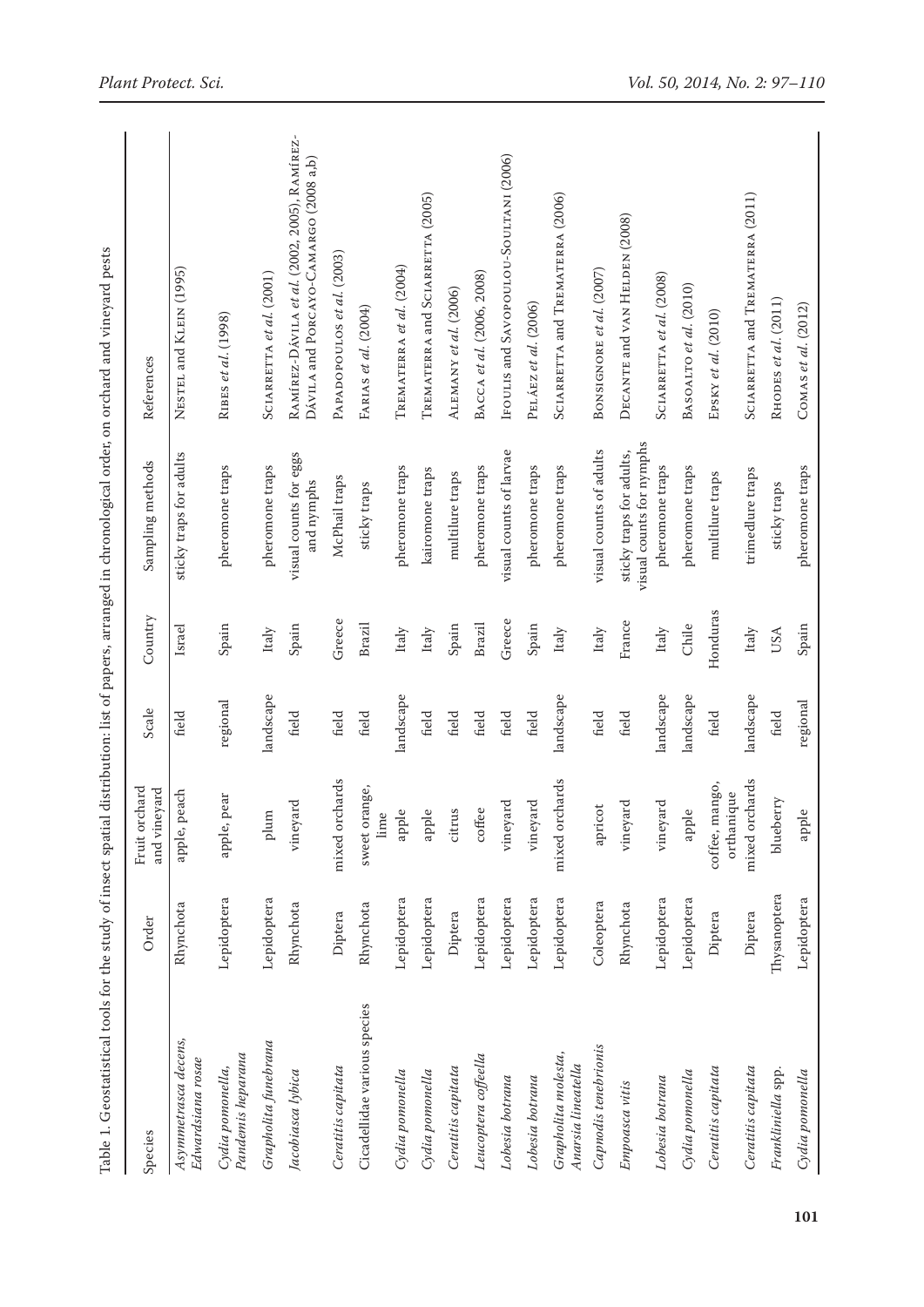| Table 1. Geostatistical tools for the study of insect spatial distribution: list of papers, arranged in chronological order, on orchard and vineyard pests |              |                               |           |            |                                                      |                                                                                       |
|------------------------------------------------------------------------------------------------------------------------------------------------------------|--------------|-------------------------------|-----------|------------|------------------------------------------------------|---------------------------------------------------------------------------------------|
| Species                                                                                                                                                    | Order        | Fruit orchard<br>and vineyard | Scale     | Country    | Sampling methods                                     | References                                                                            |
| Asymmetrasca decens,<br>Edwardsiana rosae                                                                                                                  | Rhynchota    | apple, peach                  | field     | Israel     | sticky traps for adults                              | NESTEL and KLEIN (1995)                                                               |
| Pandemis heparana<br>Cydia pomonella,                                                                                                                      | Lepidoptera  | apple, pear                   | regional  | Spain      | pheromone traps                                      | RIBES et al. (1998)                                                                   |
| Grapholita funebrana                                                                                                                                       | Lepidoptera  | plum                          | landscape | Italy      | pheromone traps                                      | SCIARRETTA et al. (2001)                                                              |
| Jacobiasca lybica                                                                                                                                          | Rhynchota    | vineyard                      | field     | Spain      | visual counts for eggs<br>and nymphs                 | RAMÍREZ-DÁVILA et al. (2002, 2005), RAMÍREZ-<br>DÁVILA and PORCAYO-CAMARGO (2008 a,b) |
| Ceratitis capitata                                                                                                                                         | Diptera      | mixed orchards                | field     | Greece     | McPhail traps                                        | PAPADOPOULOS et al. (2003)                                                            |
| Cicadellidae various species                                                                                                                               | Rhynchota    | sweet orange,<br>lime         | field     | Brazil     | sticky traps                                         | FARIAS et al. (2004)                                                                  |
| Cydia pomonella                                                                                                                                            | Lepidoptera  | apple                         | landscape | Italy      | pheromone traps                                      | TREMATERRA et al. $(2004)$                                                            |
| Cydia pomonella                                                                                                                                            | Lepidoptera  | apple                         | field     | Italy      | kairomone traps                                      | TREMATERRA and SCIARRETTA (2005)                                                      |
| Ceratitis capitata                                                                                                                                         | Diptera      | citrus                        | field     | Spain      | multilure traps                                      | ALEMANY et al. (2006)                                                                 |
| Leucoptera coffeella                                                                                                                                       | Lepidoptera  | coffee                        | field     | Brazil     | pheromone traps                                      | BACCA et al. (2006, 2008)                                                             |
| Lobesia botrana                                                                                                                                            | Lepidoptera  | vineyard                      | field     | Greece     | visual counts of larvae                              | IFOULIS and SAVOPOULOU-SOULTANI (2006)                                                |
| Lobesia botrana                                                                                                                                            | Lepidoptera  | vineyard                      | field     | Spain      | pheromone traps                                      | PELÁEZ et al. (2006)                                                                  |
| Grapholita molesta,<br>Anarsia lineatella                                                                                                                  | Lepidoptera  | mixed orchards                | landscape | Italy      | pheromone traps                                      | SCIARRETTA and TREMATERRA (2006)                                                      |
| Capnodis tenebrionis                                                                                                                                       | Coleoptera   | apricot                       | field     | Italy      | visual counts of adults                              | BONSIGNORE et al. (2007)                                                              |
| Empoasca vitis                                                                                                                                             | Rhynchota    | vineyard                      | field     | France     | visual counts for nymphs<br>sticky traps for adults, | DECANTE and VAN HELDEN (2008)                                                         |
| Lobesia botrana                                                                                                                                            | Lepidoptera  | vineyard                      | landscape | Italy      | pheromone traps                                      | SCIARRETTA et al. (2008)                                                              |
| Cydia pomonella                                                                                                                                            | Lepidoptera  | apple                         | landscape | Chile      | pheromone traps                                      | BASOALTO et al. (2010)                                                                |
| Ceratitis capitata                                                                                                                                         | Diptera      | coffee, mango,<br>orthanique  | field     | Honduras   | multilure traps                                      | EPSKY et al. $(2010)$                                                                 |
| Ceratitis capitata                                                                                                                                         | Diptera      | mixed orchards                | landscape | Italy      | trimedlure traps                                     | SCIARRETTA and TREMATERRA (2011)                                                      |
| Frankliniella spp.                                                                                                                                         | Thysanoptera | blueberry                     | field     | <b>USA</b> | sticky traps                                         | RHODES et al. (2011)                                                                  |
| Cydia pomonella                                                                                                                                            | Lepidoptera  | apple                         | regional  | Spain      | pheromone traps                                      | COMAS et al. (2012)                                                                   |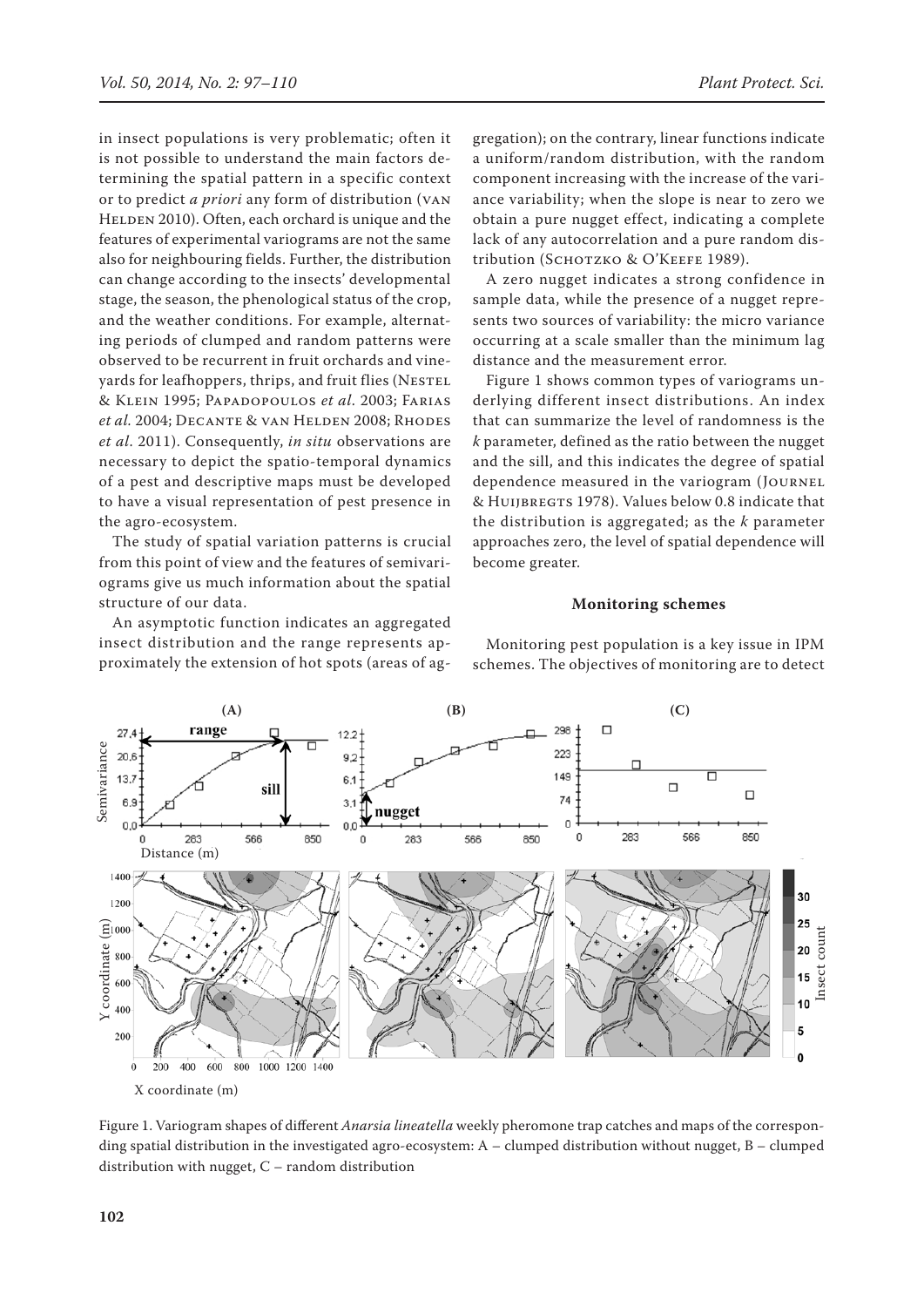in insect populations is very problematic; often it is not possible to understand the main factors determining the spatial pattern in a specific context or to predict *a priori* any form of distribution (van HELDEN 2010). Often, each orchard is unique and the features of experimental variograms are not the same also for neighbouring fields. Further, the distribution can change according to the insects' developmental stage, the season, the phenological status of the crop, and the weather conditions. For example, alternating periods of clumped and random patterns were observed to be recurrent in fruit orchards and vineyards for leafhoppers, thrips, and fruit flies (NESTEL & Klein 1995; Papadopoulos *et al*. 2003; Farias *et al.* 2004; DECANTE & VAN HELDEN 2008; RHODES *et al*. 2011). Consequently, *in situ* observations are necessary to depict the spatio-temporal dynamics of a pest and descriptive maps must be developed to have a visual representation of pest presence in the agro-ecosystem.

The study of spatial variation patterns is crucial from this point of view and the features of semivariograms give us much information about the spatial structure of our data.

An asymptotic function indicates an aggregated insect distribution and the range represents approximately the extension of hot spots (areas of aggregation); on the contrary, linear functions indicate a uniform/random distribution, with the random component increasing with the increase of the variance variability; when the slope is near to zero we obtain a pure nugget effect, indicating a complete lack of any autocorrelation and a pure random distribution (SCHOTZKO & O'КЕЕFЕ 1989).

A zero nugget indicates a strong confidence in sample data, while the presence of a nugget represents two sources of variability: the micro variance occurring at a scale smaller than the minimum lag distance and the measurement error.

Figure 1 shows common types of variograms underlying different insect distributions. An index that can summarize the level of randomness is the *k* parameter, defined as the ratio between the nugget and the sill, and this indicates the degree of spatial dependence measured in the variogram (Journel & Huijbregts 1978). Values below 0.8 indicate that the distribution is aggregated; as the *k* parameter approaches zero, the level of spatial dependence will become greater.

#### **Monitoring schemes**



Monitoring pest population is a key issue in IPM schemes. The objectives of monitoring are to detect

Figure 1. Variogram shapes of different *Anarsia lineatella* weekly pheromone trap catches and maps of the corresponding spatial distribution in the investigated agro-ecosystem:  $A -$ clumped distribution without nugget,  $B -$ clumped distribution with nugget, C – random distribution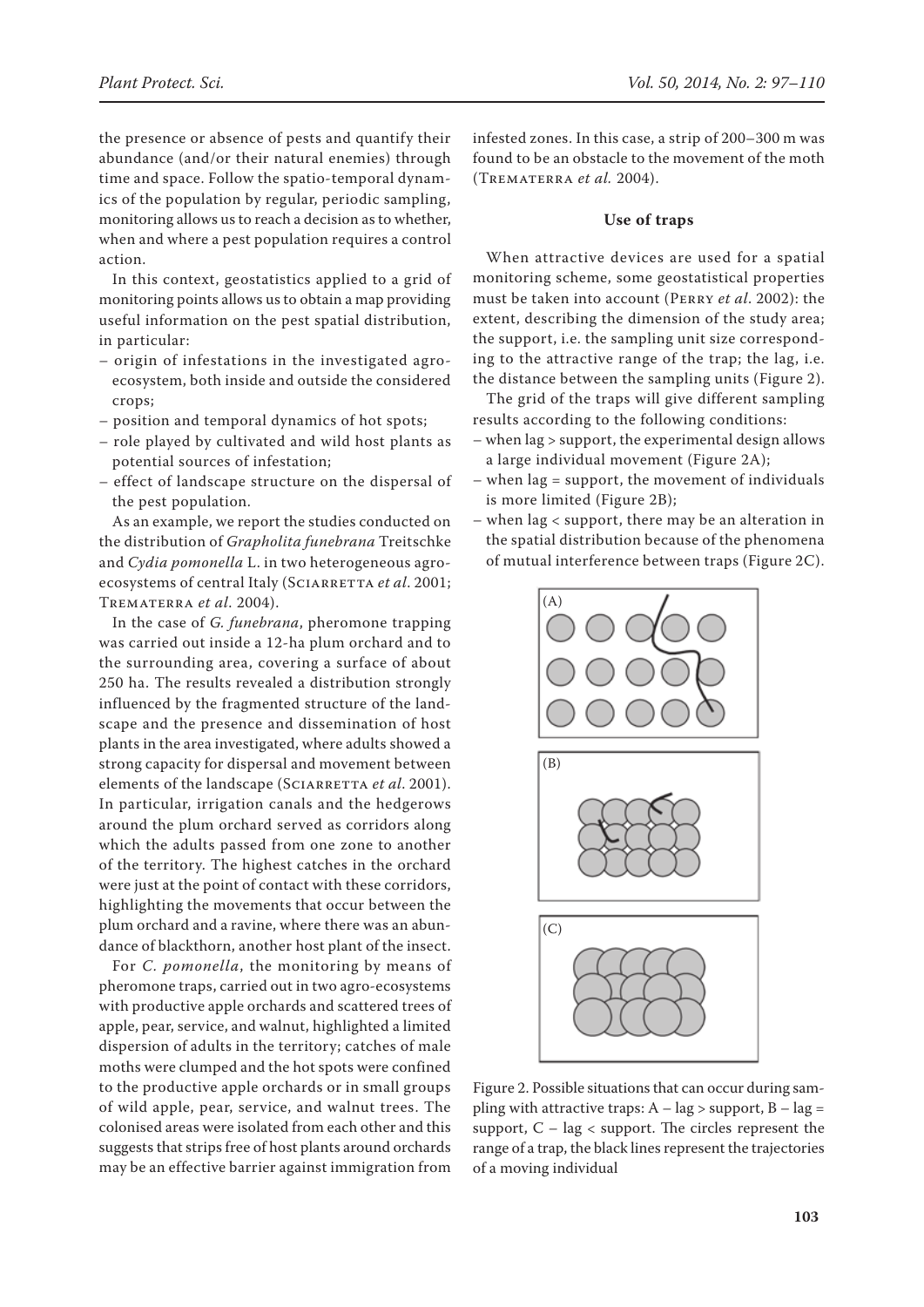the presence or absence of pests and quantify their abundance (and/or their natural enemies) through time and space. Follow the spatio-temporal dynamics of the population by regular, periodic sampling, monitoring allows us to reach a decision as to whether, when and where a pest population requires a control action.

In this context, geostatistics applied to a grid of monitoring points allows us to obtain a map providing useful information on the pest spatial distribution, in particular:

- origin of infestations in the investigated agroecosystem, both inside and outside the considered crops;
- position and temporal dynamics of hot spots;
- role played by cultivated and wild host plants as potential sources of infestation;
- effect of landscape structure on the dispersal of the pest population.

As an example, we report the studies conducted on the distribution of *Grapholita funebrana* Treitschke and *Cydia pomonella* L. in two heterogeneous agroecosystems of central Italy (SCIARRETTA et al. 2001; Trematerra *et al*. 2004).

In the case of *G. funebrana*, pheromone trapping was carried out inside a 12-ha plum orchard and to the surrounding area, covering a surface of about 250 ha. The results revealed a distribution strongly influenced by the fragmented structure of the landscape and the presence and dissemination of host plants in the area investigated, where adults showed a strong capacity for dispersal and movement between elements of the landscape (SCIARRETTA et al. 2001). In particular, irrigation canals and the hedgerows around the plum orchard served as corridors along which the adults passed from one zone to another of the territory. The highest catches in the orchard were just at the point of contact with these corridors, highlighting the movements that occur between the plum orchard and a ravine, where there was an abundance of blackthorn, another host plant of the insect.

For *C. pomonella*, the monitoring by means of pheromone traps, carried out in two agro-ecosystems with productive apple orchards and scattered trees of apple, pear, service, and walnut, highlighted a limited dispersion of adults in the territory; catches of male moths were clumped and the hot spots were confined to the productive apple orchards or in small groups of wild apple, pear, service, and walnut trees. The colonised areas were isolated from each other and this suggests that strips free of host plants around orchards may be an effective barrier against immigration from

infested zones. In this case, a strip of 200–300 m was found to be an obstacle to the movement of the moth (Trematerra *et al.* 2004).

### **Use of traps**

When attractive devices are used for a spatial monitoring scheme, some geostatistical properties must be taken into account (Perry *et al*. 2002): the extent, describing the dimension of the study area; the support, i.e. the sampling unit size corresponding to the attractive range of the trap; the lag, i.e. the distance between the sampling units (Figure 2).

The grid of the traps will give different sampling results according to the following conditions:

- when lag > support, the experimental design allows a large individual movement (Figure 2A);
- when lag = support, the movement of individuals is more limited (Figure 2B);
- when lag < support, there may be an alteration in the spatial distribution because of the phenomena of mutual interference between traps (Figure 2C).



Figure 2. Possible situations that can occur during sampling with attractive traps:  $A - lag$  > support,  $B - lag$  = support,  $C - lag < support$ . The circles represent the range of a trap, the black lines represent the trajectories of a moving individual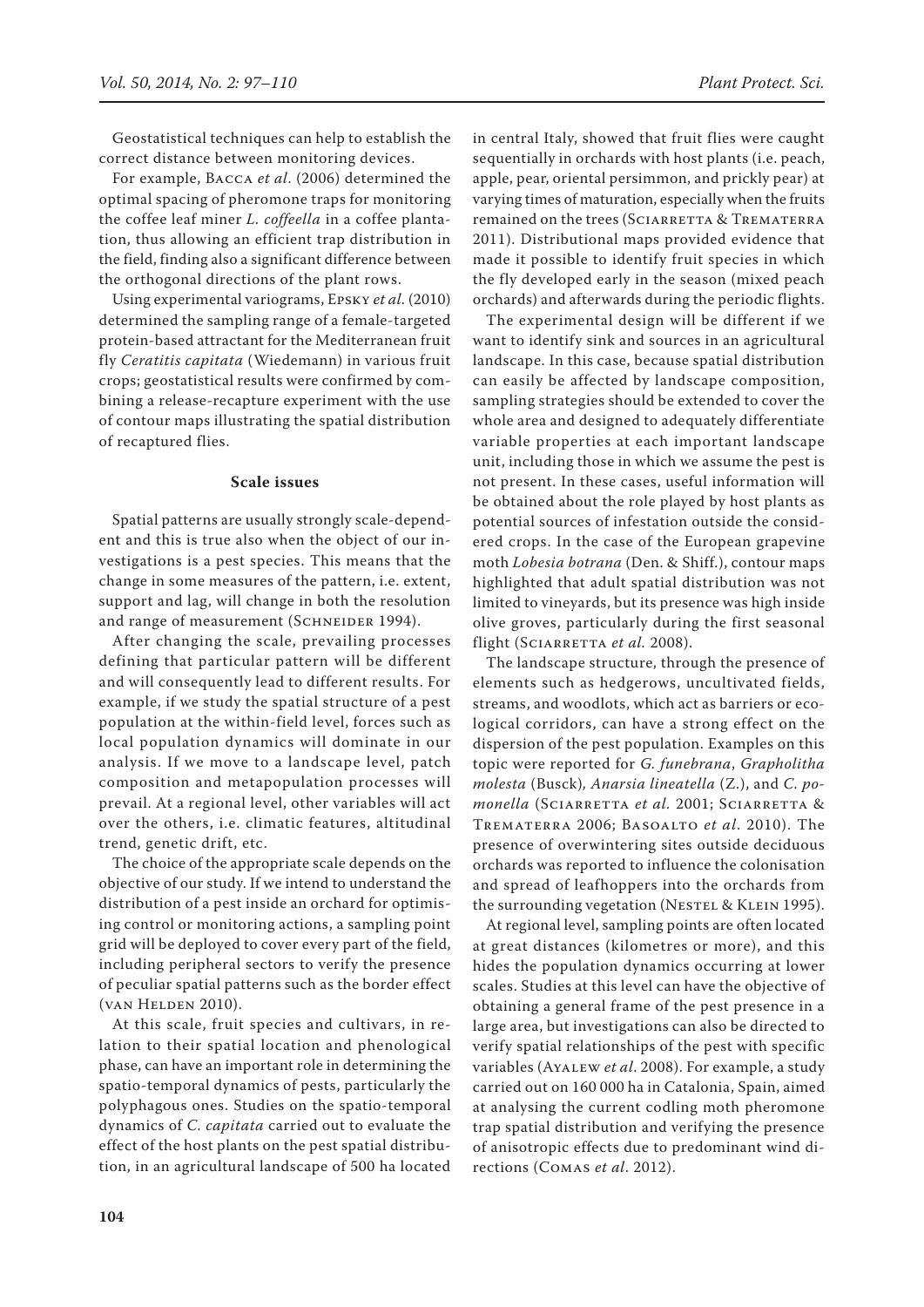Geostatistical techniques can help to establish the correct distance between monitoring devices.

For example, Bacca *et al*. (2006) determined the optimal spacing of pheromone traps for monitoring the coffee leaf miner *L. coffeella* in a coffee plantation, thus allowing an efficient trap distribution in the field, finding also a significant difference between the orthogonal directions of the plant rows.

Using experimental variograms, Epsky *et al*. (2010) determined the sampling range of a female-targeted protein-based attractant for the Mediterranean fruit fly *Ceratitis capitata* (Wiedemann) in various fruit crops; geostatistical results were confirmed by combining a release-recapture experiment with the use of contour maps illustrating the spatial distribution of recaptured flies.

#### **Scale issues**

Spatial patterns are usually strongly scale-dependent and this is true also when the object of our investigations is a pest species. This means that the change in some measures of the pattern, i.e. extent, support and lag, will change in both the resolution and range of measurement (SCHNEIDER 1994).

After changing the scale, prevailing processes defining that particular pattern will be different and will consequently lead to different results. For example, if we study the spatial structure of a pest population at the within-field level, forces such as local population dynamics will dominate in our analysis. If we move to a landscape level, patch composition and metapopulation processes will prevail. At a regional level, other variables will act over the others, i.e. climatic features, altitudinal trend, genetic drift, etc.

The choice of the appropriate scale depends on the objective of our study. If we intend to understand the distribution of a pest inside an orchard for optimising control or monitoring actions, a sampling point grid will be deployed to cover every part of the field, including peripheral sectors to verify the presence of peculiar spatial patterns such as the border effect (van Helden 2010).

At this scale, fruit species and cultivars, in relation to their spatial location and phenological phase, can have an important role in determining the spatio-temporal dynamics of pests, particularly the polyphagous ones. Studies on the spatio-temporal dynamics of *C. capitata* carried out to evaluate the effect of the host plants on the pest spatial distribution, in an agricultural landscape of 500 ha located

in central Italy, showed that fruit flies were caught sequentially in orchards with host plants (i.e. peach, apple, pear, oriental persimmon, and prickly pear) at varying times of maturation, especially when the fruits remained on the trees (SCIARRETTA & TREMATERRA 2011). Distributional maps provided evidence that made it possible to identify fruit species in which the fly developed early in the season (mixed peach orchards) and afterwards during the periodic flights.

The experimental design will be different if we want to identify sink and sources in an agricultural landscape. In this case, because spatial distribution can easily be affected by landscape composition, sampling strategies should be extended to cover the whole area and designed to adequately differentiate variable properties at each important landscape unit, including those in which we assume the pest is not present. In these cases, useful information will be obtained about the role played by host plants as potential sources of infestation outside the considered crops. In the case of the European grapevine moth *Lobesia botrana* (Den. & Shiff.), contour maps highlighted that adult spatial distribution was not limited to vineyards, but its presence was high inside olive groves, particularly during the first seasonal flight (SCIARRETTA et al. 2008).

The landscape structure, through the presence of elements such as hedgerows, uncultivated fields, streams, and woodlots, which act as barriers or ecological corridors, can have a strong effect on the dispersion of the pest population. Examples on this topic were reported for *G. funebrana*, *Grapholitha molesta* (Busck)*, Anarsia lineatella* (Z.), and *C. pomonella* (SCIARRETTA *et al.* 2001; SCIARRETTA & Trematerra 2006; Basoalto *et al*. 2010). The presence of overwintering sites outside deciduous orchards was reported to influence the colonisation and spread of leafhoppers into the orchards from the surrounding vegetation (NESTEL & KLEIN 1995).

At regional level, sampling points are often located at great distances (kilometres or more), and this hides the population dynamics occurring at lower scales. Studies at this level can have the objective of obtaining a general frame of the pest presence in a large area, but investigations can also be directed to verify spatial relationships of the pest with specific variables (Ayalew *et al*. 2008). For example, a study carried out on 160 000 ha in Catalonia, Spain, aimed at analysing the current codling moth pheromone trap spatial distribution and verifying the presence of anisotropic effects due to predominant wind directions (Comas *et al*. 2012).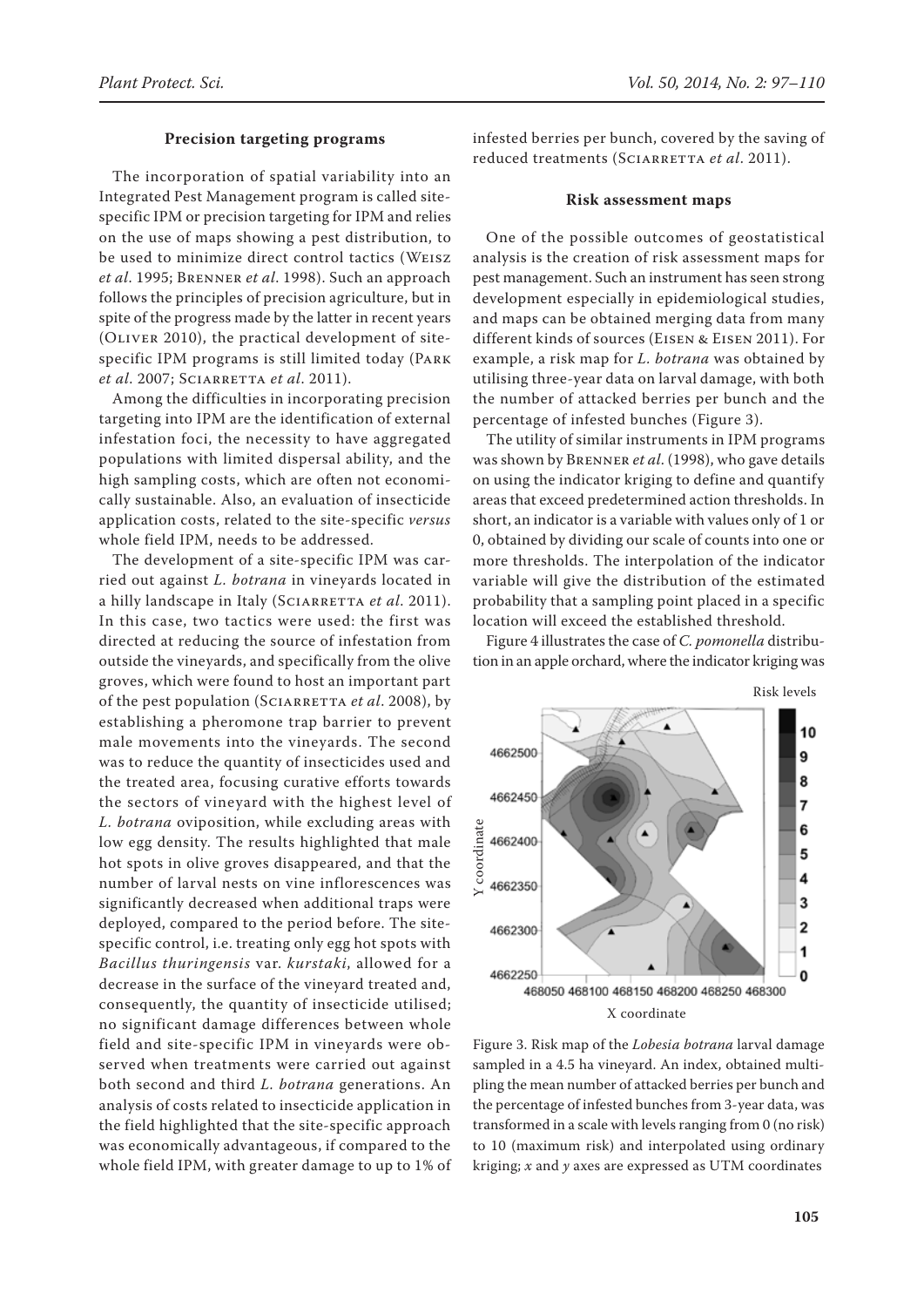#### **Precision targeting programs**

The incorporation of spatial variability into an Integrated Pest Management program is called sitespecific IPM or precision targeting for IPM and relies on the use of maps showing a pest distribution, to be used to minimize direct control tactics (Weisz *et al*. 1995; Brenner *et al*. 1998). Such an approach follows the principles of precision agriculture, but in spite of the progress made by the latter in recent years (Oliver 2010), the practical development of sitespecific IPM programs is still limited today (Park *et al.* 2007; SCIARRETTA *et al.* 2011).

Among the difficulties in incorporating precision targeting into IPM are the identification of external infestation foci, the necessity to have aggregated populations with limited dispersal ability, and the high sampling costs, which are often not economically sustainable. Also, an evaluation of insecticide application costs, related to the site-specific *versus* whole field IPM, needs to be addressed.

The development of a site-specific IPM was carried out against *L. botrana* in vineyards located in a hilly landscape in Italy (SCIARRETTA et al. 2011). In this case, two tactics were used: the first was directed at reducing the source of infestation from outside the vineyards, and specifically from the olive groves, which were found to host an important part of the pest population (SCIARRETTA *et al.* 2008), by establishing a pheromone trap barrier to prevent male movements into the vineyards. The second was to reduce the quantity of insecticides used and the treated area, focusing curative efforts towards the sectors of vineyard with the highest level of *L. botrana* oviposition, while excluding areas with low egg density. The results highlighted that male hot spots in olive groves disappeared, and that the number of larval nests on vine inflorescences was significantly decreased when additional traps were deployed, compared to the period before. The sitespecific control, i.e. treating only egg hot spots with *Bacillus thuringensis* var. *kurstaki*, allowed for a decrease in the surface of the vineyard treated and, consequently, the quantity of insecticide utilised; no significant damage differences between whole field and site-specific IPM in vineyards were observed when treatments were carried out against both second and third *L. botrana* generations. An analysis of costs related to insecticide application in the field highlighted that the site-specific approach was economically advantageous, if compared to the whole field IPM, with greater damage to up to 1% of

infested berries per bunch, covered by the saving of reduced treatments (SCIARRETTA et al. 2011).

#### **Risk assessment maps**

One of the possible outcomes of geostatistical analysis is the creation of risk assessment maps for pest management. Such an instrument has seen strong development especially in epidemiological studies, and maps can be obtained merging data from many different kinds of sources (Eisen & Eisen 2011). For example, a risk map for *L. botrana* was obtained by utilising three-year data on larval damage, with both the number of attacked berries per bunch and the percentage of infested bunches (Figure 3).

The utility of similar instruments in IPM programs was shown by Brenner *et al*. (1998), who gave details on using the indicator kriging to define and quantify areas that exceed predetermined action thresholds. In short, an indicator is a variable with values only of 1 or 0, obtained by dividing our scale of counts into one or more thresholds. The interpolation of the indicator variable will give the distribution of the estimated probability that a sampling point placed in a specific location will exceed the established threshold.

Figure 4 illustrates the case of *C. pomonella* distribution in an apple orchard, where the indicator kriging was



Figure 3. Risk map of the *Lobesia botrana* larval damage sampled in a 4.5 ha vineyard. An index, obtained multipling the mean number of attacked berries per bunch and the percentage of infested bunches from 3-year data, was transformed in a scale with levels ranging from 0 (no risk) to 10 (maximum risk) and interpolated using ordinary kriging; *x* and *y* axes are expressed as UTM coordinates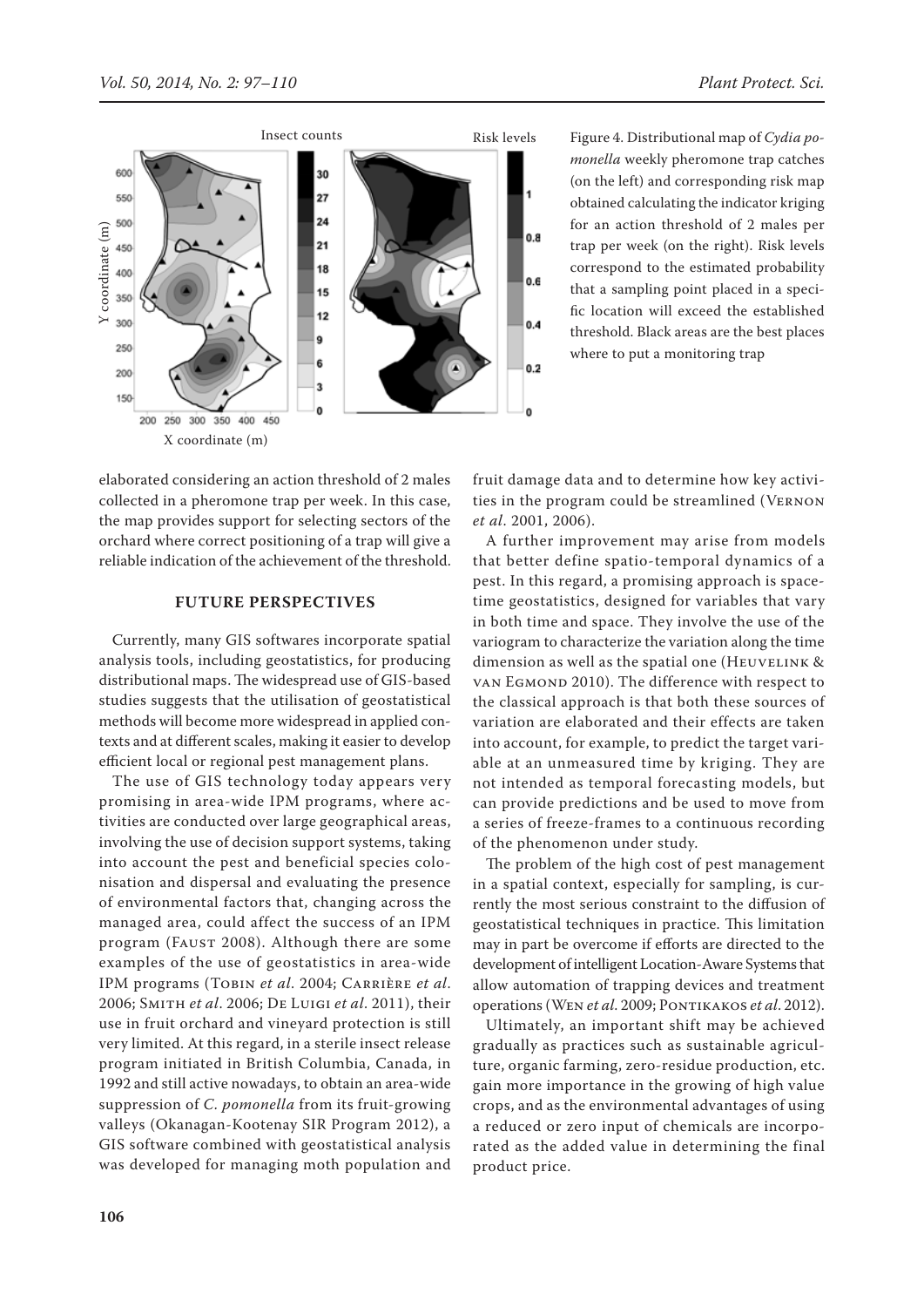

elaborated considering an action threshold of 2 males collected in a pheromone trap per week. In this case, the map provides support for selecting sectors of the orchard where correct positioning of a trap will give a reliable indication of the achievement of the threshold.

## **Future perspectives**

Currently, many GIS softwares incorporate spatial analysis tools, including geostatistics, for producing distributional maps. The widespread use of GIS-based studies suggests that the utilisation of geostatistical methods will become more widespread in applied contexts and at different scales, making it easier to develop efficient local or regional pest management plans.

The use of GIS technology today appears very promising in area-wide IPM programs, where activities are conducted over large geographical areas, involving the use of decision support systems, taking into account the pest and beneficial species colonisation and dispersal and evaluating the presence of environmental factors that, changing across the managed area, could affect the success of an IPM program (FAUST 2008). Although there are some examples of the use of geostatistics in area-wide IPM programs (Tobin *et al*. 2004; Carrière *et al*. 2006; Smith *et al*. 2006; De Luigi *et al*. 2011), their use in fruit orchard and vineyard protection is still very limited. At this regard, in a sterile insect release program initiated in British Columbia, Canada, in 1992 and still active nowadays, to obtain an area-wide suppression of *C. pomonella* from its fruit-growing valleys (Okanagan-Kootenay SIR Program 2012), a GIS software combined with geostatistical analysis was developed for managing moth population and Figure 4. Distributional map of *Cydia pomonella* weekly pheromone trap catches (on the left) and corresponding risk map obtained calculating the indicator kriging for an action threshold of 2 males per trap per week (on the right). Risk levels correspond to the estimated probability that a sampling point placed in a specific location will exceed the established threshold. Black areas are the best places where to put a monitoring trap

fruit damage data and to determine how key activities in the program could be streamlined (Vernon *et al*. 2001, 2006).

A further improvement may arise from models that better define spatio-temporal dynamics of a pest. In this regard, a promising approach is spacetime geostatistics, designed for variables that vary in both time and space. They involve the use of the variogram to characterize the variation along the time dimension as well as the spatial one (HEUVELINK & van Egmond 2010). The difference with respect to the classical approach is that both these sources of variation are elaborated and their effects are taken into account, for example, to predict the target variable at an unmeasured time by kriging. They are not intended as temporal forecasting models, but can provide predictions and be used to move from a series of freeze-frames to a continuous recording of the phenomenon under study.

The problem of the high cost of pest management in a spatial context, especially for sampling, is currently the most serious constraint to the diffusion of geostatistical techniques in practice. This limitation may in part be overcome if efforts are directed to the development of intelligent Location-Aware Systems that allow automation of trapping devices and treatment operations (WEN *et al.* 2009; PONTIKAKOS *et al.* 2012).

Ultimately, an important shift may be achieved gradually as practices such as sustainable agriculture, organic farming, zero-residue production, etc. gain more importance in the growing of high value crops, and as the environmental advantages of using a reduced or zero input of chemicals are incorporated as the added value in determining the final product price.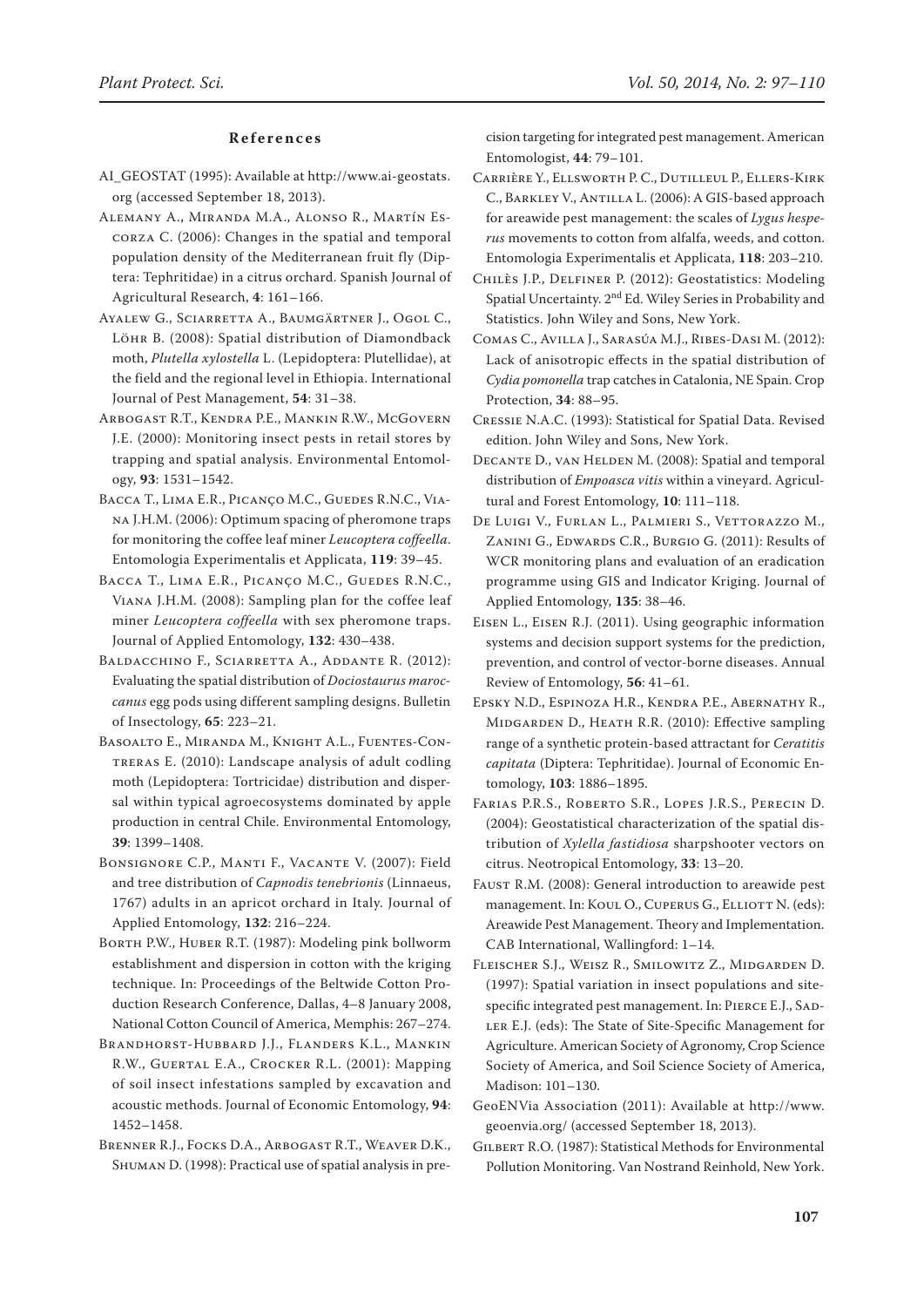#### **References**

- AI\_GEOSTAT (1995): Available at http://www.ai-geostats. org (accessed September 18, 2013).
- Alemany A., Miranda M.A., Alonso R., Martín Escorza C. (2006): Changes in the spatial and temporal population density of the Mediterranean fruit fly (Diptera: Tephritidae) in a citrus orchard. Spanish Journal of Agricultural Research, **4**: 161–166.
- Ayalew G., Sciarretta A., Baumgärtner J., Ogol C., Löhr B. (2008): Spatial distribution of Diamondback moth, *Plutella xylostella* L. (Lepidoptera: Plutellidae), at the field and the regional level in Ethiopia. International Journal of Pest Management, **54**: 31–38.
- Arbogast R.T., Kendra P.E., Mankin R.W., McGovern J.E. (2000): Monitoring insect pests in retail stores by trapping and spatial analysis. Environmental Entomology, **93**: 1531–1542.
- BACCA T., LIMA E.R., PICANÇO M.C., GUEDES R.N.C., VIAna J.H.M. (2006): Optimum spacing of pheromone traps for monitoring the coffee leaf miner *Leucoptera coffeella*. Entomologia Experimentalis et Applicata, **119**: 39–45.
- BACCA T., LIMA E.R., PICANÇO M.C., GUEDES R.N.C., Viana J.H.M. (2008): Sampling plan for the coffee leaf miner *Leucoptera coffeella* with sex pheromone traps. Journal of Applied Entomology, **132**: 430–438.
- BALDACCHINO F., SCIARRETTA A., ADDANTE R. (2012): Evaluating the spatial distribution of *Dociostaurus maroccanus* egg pods using different sampling designs. Bulletin of Insectology, **65**: 223–21.
- Basoalto E., Miranda M., Knight A.L., Fuentes-Contreras E. (2010): Landscape analysis of adult codling moth (Lepidoptera: Tortricidae) distribution and dispersal within typical agroecosystems dominated by apple production in central Chile. Environmental Entomology, **39**: 1399–1408.
- Bonsignore C.P., Manti F., Vacante V. (2007): Field and tree distribution of *Capnodis tenebrionis* (Linnaeus, 1767) adults in an apricot orchard in Italy. Journal of Applied Entomology, **132**: 216–224.
- BORTH P.W., HUBER R.T. (1987): Modeling pink bollworm establishment and dispersion in cotton with the kriging technique. In: Proceedings of the Beltwide Cotton Production Research Conference, Dallas, 4–8 January 2008, National Cotton Council of America, Memphis: 267–274.
- Brandhorst-Hubbard J.J., Flanders K.L., Mankin R.W., Guertal E.A., Crocker R.L. (2001): Mapping of soil insect infestations sampled by excavation and acoustic methods. Journal of Economic Entomology, **94**: 1452–1458.
- Brenner R.J., Focks D.A., Arbogast R.T., Weaver D.K., Shuman D. (1998): Practical use of spatial analysis in pre-

cision targeting for integrated pest management. American Entomologist, **44**: 79–101.

- Carrière Y., Ellsworth P. C., Dutilleul P., Ellers-Kirk C., Barkley V., Antilla L. (2006): A GIS-based approach for areawide pest management: the scales of *Lygus hesperus* movements to cotton from alfalfa, weeds, and cotton. Entomologia Experimentalis et Applicata, **118**: 203–210.
- Chilès J.P., Delfiner P. (2012): Geostatistics: Modeling Spatial Uncertainty. 2nd Ed. Wiley Series in Probability and Statistics. John Wiley and Sons, New York.
- Comas C., Avilla J., Sarasúa M.J., Ribes-Dasi M. (2012): Lack of anisotropic effects in the spatial distribution of *Cydia pomonella* trap catches in Catalonia, NE Spain. Crop Protection, **34**: 88–95.
- Cressie N.A.C. (1993): Statistical for Spatial Data. Revised edition. John Wiley and Sons, New York.
- DECANTE D., VAN HELDEN M. (2008): Spatial and temporal distribution of *Empoasca vitis* within a vineyard. Agricultural and Forest Entomology, **10**: 111–118.
- DE LUIGI V., FURLAN L., PALMIERI S., VETTORAZZO M., Zanini G., Edwards C.R., Burgio G. (2011): Results of WCR monitoring plans and evaluation of an eradication programme using GIS and Indicator Kriging. Journal of Applied Entomology, **135**: 38–46.
- Eisen L., Eisen R.J. (2011). Using geographic information systems and decision support systems for the prediction, prevention, and control of vector-borne diseases. Annual Review of Entomology, **56**: 41–61.
- Epsky N.D., Espinoza H.R., Kendra P.E., Abernathy R., Midgarden D., Heath R.R. (2010): Effective sampling range of a synthetic protein-based attractant for *Ceratitis capitata* (Diptera: Tephritidae). Journal of Economic Entomology, **103**: 1886–1895.
- Farias P.R.S., Roberto S.R., Lopes J.R.S., Perecin D. (2004): Geostatistical characterization of the spatial distribution of *Xylella fastidiosa* sharpshooter vectors on citrus. Neotropical Entomology, **33**: 13–20.
- FAUST R.M. (2008): General introduction to areawide pest management. In: KOUL O., CUPERUS G., ELLIOTT N. (eds): Areawide Pest Management. Theory and Implementation. CAB International, Wallingford: 1–14.
- Fleischer S.J., Weisz R., Smilowitz Z., Midgarden D. (1997): Spatial variation in insect populations and sitespecific integrated pest management. In: PIERCE E.J., SAD-LER E.J. (eds): The State of Site-Specific Management for Agriculture. American Society of Agronomy, Crop Science Society of America, and Soil Science Society of America, Madison: 101–130.
- GeoENVia Association (2011): Available at http://www. geoenvia.org/ (accessed September 18, 2013).
- GILBERT R.O. (1987): Statistical Methods for Environmental Pollution Monitoring. Van Nostrand Reinhold, New York.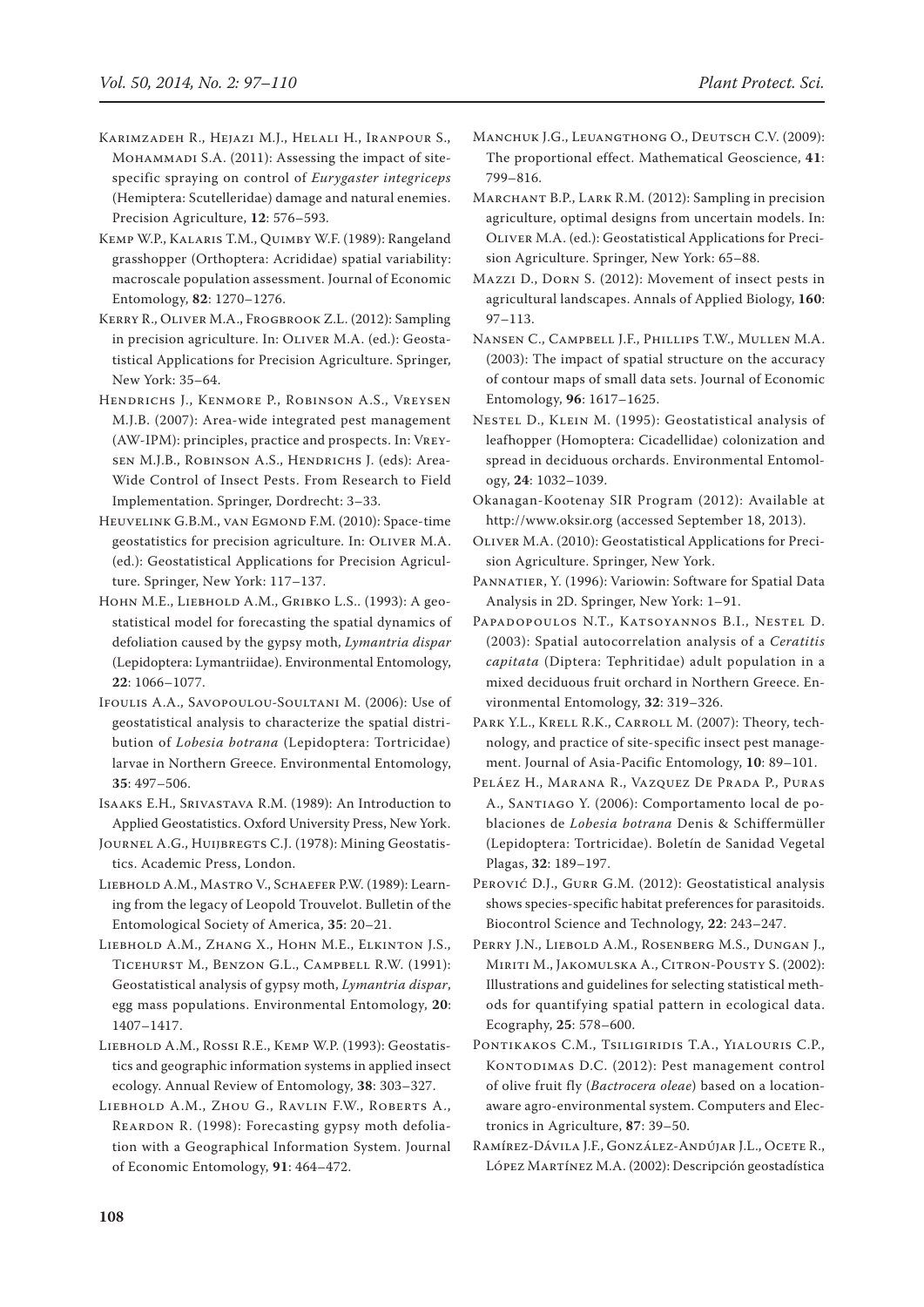- Karimzadeh R., Hejazi M.J., Helali H., Iranpour S., Mohammadi S.A. (2011): Assessing the impact of sitespecific spraying on control of *Eurygaster integriceps* (Hemiptera: Scutelleridae) damage and natural enemies. Precision Agriculture, **12**: 576–593.
- Kemp W.P., Kalaris T.M., Quimby W.F. (1989): Rangeland grasshopper (Orthoptera: Acrididae) spatial variability: macroscale population assessment. Journal of Economic Entomology, **82**: 1270–1276.
- Kerry R., Oliver M.A., Frogbrook Z.L. (2012): Sampling in precision agriculture. In: Oliver M.A. (ed.): Geostatistical Applications for Precision Agriculture. Springer, New York: 35–64.
- Hendrichs J., Kenmore P., Robinson A.S., Vreysen M.J.B. (2007): Area-wide integrated pest management (AW-IPM): principles, practice and prospects. In: Vreysen M.J.B., Robinson A.S., Hendrichs J. (eds): Area-Wide Control of Insect Pests. From Research to Field Implementation. Springer, Dordrecht: 3–33.
- Heuvelink G.B.M., van Egmond F.M. (2010): Space-time geostatistics for precision agriculture. In: Oliver M.A. (ed.): Geostatistical Applications for Precision Agriculture. Springer, New York: 117–137.
- Hohn M.E., Liebhold A.M., Gribko L.S.. (1993): A geostatistical model for forecasting the spatial dynamics of defoliation caused by the gypsy moth, *Lymantria dispar* (Lepidoptera: Lymantriidae). Environmental Entomology, **22**: 1066–1077.
- Ifoulis A.A., Savopoulou-Soultani M. (2006): Use of geostatistical analysis to characterize the spatial distribution of *Lobesia botrana* (Lepidoptera: Tortricidae) larvae in Northern Greece. Environmental Entomology, **35**: 497–506.
- Isaaks E.H., Srivastava R.M. (1989): An Introduction to Applied Geostatistics. Oxford University Press, New York.
- JOURNEL A.G., HUIJBREGTS C.J. (1978): Mining Geostatistics. Academic Press, London.
- Liebhold A.M., Mastro V., Schaefer P.W. (1989): Learning from the legacy of Leopold Trouvelot. Bulletin of the Entomological Society of America, **35**: 20–21.
- Liebhold A.M., Zhang X., Hohn M.E., Elkinton J.S., Ticehurst M., Benzon G.L., Campbell R.W. (1991): Geostatistical analysis of gypsy moth, *Lymantria dispar*, egg mass populations. Environmental Entomology, **20**: 1407–1417.
- Liebhold A.M., Rossi R.E., Kemp W.P. (1993): Geostatistics and geographic information systems in applied insect ecology. Annual Review of Entomology, **38**: 303–327.
- Liebhold A.M., Zhou G., Ravlin F.W., Roberts A., REARDON R. (1998): Forecasting gypsy moth defoliation with a Geographical Information System. Journal of Economic Entomology, **91**: 464–472.
- Manchuk J.G., Leuangthong O., Deutsch C.V. (2009): The proportional effect. Mathematical Geoscience, **41**: 799–816.
- Marchant B.P., Lark R.M. (2012): Sampling in precision agriculture, optimal designs from uncertain models. In: Oliver M.A. (ed.): Geostatistical Applications for Precision Agriculture. Springer, New York: 65–88.
- Mazzi D., Dorn S. (2012): Movement of insect pests in agricultural landscapes. Annals of Applied Biology, **160**: 97–113.
- Nansen C., Campbell J.F., Phillips T.W., Mullen M.A. (2003): The impact of spatial structure on the accuracy of contour maps of small data sets. Journal of Economic Entomology, **96**: 1617–1625.
- Nestel D., Klein M. (1995): Geostatistical analysis of leafhopper (Homoptera: Cicadellidae) colonization and spread in deciduous orchards. Environmental Entomology, **24**: 1032–1039.
- Okanagan-Kootenay SIR Program (2012): Available at http://www.oksir.org (accessed September 18, 2013).
- Oliver M.A. (2010): Geostatistical Applications for Precision Agriculture. Springer, New York.
- PANNATIER, Y. (1996): Variowin: Software for Spatial Data Analysis in 2D. Springer, New York: 1–91.
- Papadopoulos N.T., Katsoyannos B.I., Nestel D. (2003): Spatial autocorrelation analysis of a *Ceratitis capitata* (Diptera: Tephritidae) adult population in a mixed deciduous fruit orchard in Northern Greece. Environmental Entomology, **32**: 319–326.
- PARK Y.L., KRELL R.K., CARROLL M. (2007): Theory, technology, and practice of site-specific insect pest management. Journal of Asia-Pacific Entomology, **10**: 89–101.
- Peláez H., Marana R., Vazquez De Prada P., Puras A., Santiago Y. (2006): Comportamento local de poblaciones de *Lobesia botrana* Denis & Schiffermüller (Lepidoptera: Tortricidae). Boletín de Sanidad Vegetal Plagas, **32**: 189–197.
- Perović D.J., Gurr G.M. (2012): Geostatistical analysis shows species-specific habitat preferences for parasitoids. Biocontrol Science and Technology, **22**: 243–247.
- Perry J.N., Liebold A.M., Rosenberg M.S., Dungan J., Miriti M., Jakomulska A., Citron-Pousty S. (2002): Illustrations and guidelines for selecting statistical methods for quantifying spatial pattern in ecological data. Ecography, **25**: 578–600.
- PONTIKAKOS C.M., TSILIGIRIDIS T.A., YIALOURIS C.P., KONTODIMAS D.C. (2012): Pest management control of olive fruit fly (*Bactrocera oleae*) based on a locationaware agro-environmental system. Computers and Electronics in Agriculture, **87**: 39–50.
- Ramírez-Dávila J.F., González-Andújar J.L., Ocete R., López Martínez M.A. (2002): Descripción geostadística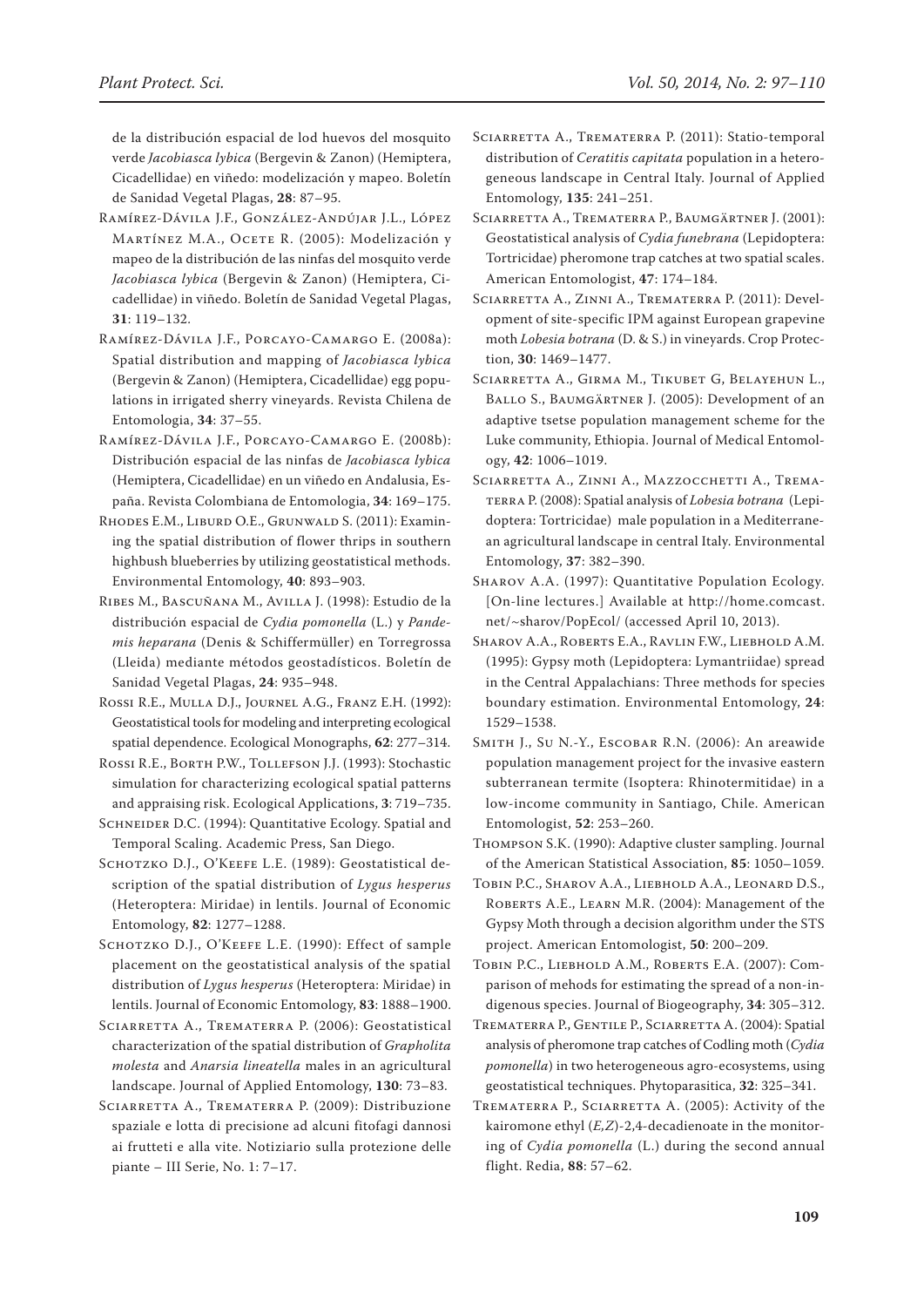de la distribución espacial de lod huevos del mosquito verde *Jacobiasca lybica* (Bergevin & Zanon) (Hemiptera, Cicadellidae) en viñedo: modelización y mapeo. Boletín de Sanidad Vegetal Plagas, **28**: 87–95.

- Ramírez-Dávila J.F., González-Andújar J.L., López Martínez M.A., Ocete R. (2005): Modelización y mapeo de la distribución de las ninfas del mosquito verde *Jacobiasca lybica* (Bergevin & Zanon) (Hemiptera, Cicadellidae) in viñedo. Boletín de Sanidad Vegetal Plagas, **31**: 119–132.
- Ramírez-Dávila J.F., Porcayo-Camargo E. (2008a): Spatial distribution and mapping of *Jacobiasca lybica* (Bergevin & Zanon) (Hemiptera, Cicadellidae) egg populations in irrigated sherry vineyards. Revista Chilena de Entomologia, **34**: 37–55.
- Ramírez-Dávila J.F., Porcayo-Camargo E. (2008b): Distribución espacial de las ninfas de *Jacobiasca lybica*  (Hemiptera, Cicadellidae) en un viñedo en Andalusia, España. Revista Colombiana de Entomologia, **34**: 169–175.
- Rhodes E.M., Liburd O.E., Grunwald S. (2011): Examining the spatial distribution of flower thrips in southern highbush blueberries by utilizing geostatistical methods. Environmental Entomology, **40**: 893–903.
- Ribes M., Bascuñana M., Avilla J. (1998): Estudio de la distribución espacial de *Cydia pomonella* (L.) y *Pandemis heparana* (Denis & Schiffermüller) en Torregrossa (Lleida) mediante métodos geostadísticos. Boletín de Sanidad Vegetal Plagas, **24**: 935–948.
- Rossi R.E., Mulla D.J., Journel A.G., Franz E.H. (1992): Geostatistical tools for modeling and interpreting ecological spatial dependence. Ecological Monographs, **62**: 277–314.
- Rossi R.E., Borth P.W., Tollefson J.J. (1993): Stochastic simulation for characterizing ecological spatial patterns and appraising risk. Ecological Applications, **3**: 719–735.
- SCHNEIDER D.C. (1994): Quantitative Ecology. Spatial and Temporal Scaling. Academic Press, San Diego.
- SCHOTZKO D.J., O'KEEFE L.E. (1989): Geostatistical description of the spatial distribution of *Lygus hesperus* (Heteroptera: Miridae) in lentils. Journal of Economic Entomology, **82**: 1277–1288.
- SCHOTZKO D.J., O'KEEFE L.E. (1990): Effect of sample placement on the geostatistical analysis of the spatial distribution of *Lygus hesperus* (Heteroptera: Miridae) in lentils. Journal of Economic Entomology, **83**: 1888–1900.
- SCIARRETTA A., TREMATERRA P. (2006): Geostatistical characterization of the spatial distribution of *Grapholita molesta* and *Anarsia lineatella* males in an agricultural landscape. Journal of Applied Entomology, **130**: 73–83.
- SCIARRETTA A., TREMATERRA P. (2009): Distribuzione spaziale e lotta di precisione ad alcuni fitofagi dannosi ai frutteti e alla vite. Notiziario sulla protezione delle piante – III Serie, No. 1: 7–17.
- SCIARRETTA A., TREMATERRA P. (2011): Statio-temporal distribution of *Ceratitis capitata* population in a heterogeneous landscape in Central Italy. Journal of Applied Entomology, **135**: 241–251.
- Sciarretta A., Trematerra P., Baumgärtner J. (2001): Geostatistical analysis of *Cydia funebrana* (Lepidoptera: Tortricidae) pheromone trap catches at two spatial scales. American Entomologist, **47**: 174–184.
- Sciarretta A., Zinni A., Trematerra P. (2011): Development of site-specific IPM against European grapevine moth *Lobesia botrana* (D. & S.) in vineyards. Crop Protection, **30**: 1469–1477.
- SCIARRETTA A., GIRMA M., TIKUBET G, BELAYEHUN L., Ballo S., Baumgärtner J. (2005): Development of an adaptive tsetse population management scheme for the Luke community, Ethiopia. Journal of Medical Entomology, **42**: 1006–1019.
- SCIARRETTA A., ZINNI A., MAZZOCCHETTI A., TREMAterra P. (2008): Spatial analysis of *Lobesia botrana* (Lepidoptera: Tortricidae) male population in a Mediterranean agricultural landscape in central Italy. Environmental Entomology, **37**: 382–390.
- Sharov A.A. (1997): Quantitative Population Ecology. [On-line lectures.] Available at http://home.comcast. net/~sharov/PopEcol/ (accessed April 10, 2013).
- Sharov A.A., Roberts E.A., Ravlin F.W., Liebhold A.M. (1995): Gypsy moth (Lepidoptera: Lymantriidae) spread in the Central Appalachians: Three methods for species boundary estimation. Environmental Entomology, **24**: 1529–1538.
- Smith J., Su N.-Y., Escobar R.N. (2006): An areawide population management project for the invasive eastern subterranean termite (Isoptera: Rhinotermitidae) in a low-income community in Santiago, Chile. American Entomologist, **52**: 253–260.
- Thompson S.K. (1990): Adaptive cluster sampling. Journal of the American Statistical Association, **85**: 1050–1059.
- Tobin P.C., Sharov A.A., Liebhold A.A., Leonard D.S., Roberts A.E., Learn M.R. (2004): Management of the Gypsy Moth through a decision algorithm under the STS project. American Entomologist, **50**: 200–209.
- Tobin P.C., Liebhold A.M., Roberts E.A. (2007): Comparison of mehods for estimating the spread of a non-indigenous species. Journal of Biogeography, **34**: 305–312.
- Trematerra P., Gentile P., Sciarretta A. (2004): Spatial analysis of pheromone trap catches of Codling moth (*Cydia pomonella*) in two heterogeneous agro-ecosystems, using geostatistical techniques. Phytoparasitica, **32**: 325–341.
- TREMATERRA P., SCIARRETTA A. (2005): Activity of the kairomone ethyl (*E,Z*)-2,4-decadienoate in the monitoring of *Cydia pomonella* (L.) during the second annual flight. Redia, **88**: 57–62.